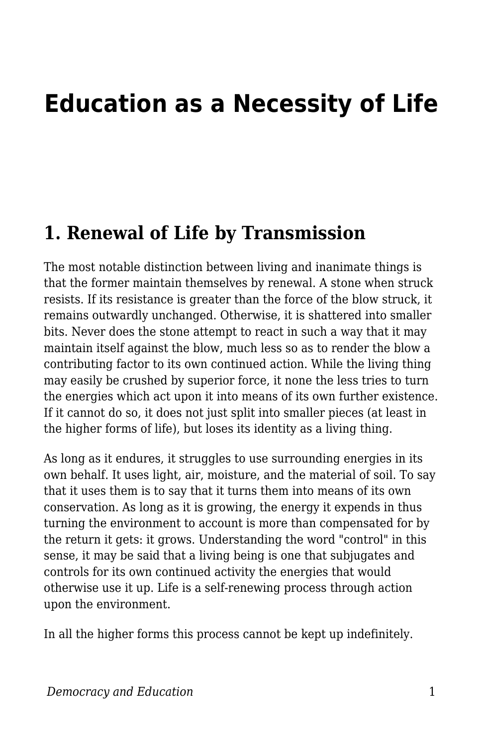# **Education as a Necessity of Life**

#### **1. Renewal of Life by Transmission**

The most notable distinction between living and inanimate things is that the former maintain themselves by renewal. A stone when struck resists. If its resistance is greater than the force of the blow struck, it remains outwardly unchanged. Otherwise, it is shattered into smaller bits. Never does the stone attempt to react in such a way that it may maintain itself against the blow, much less so as to render the blow a contributing factor to its own continued action. While the living thing may easily be crushed by superior force, it none the less tries to turn the energies which act upon it into means of its own further existence. If it cannot do so, it does not just split into smaller pieces (at least in the higher forms of life), but loses its identity as a living thing.

As long as it endures, it struggles to use surrounding energies in its own behalf. It uses light, air, moisture, and the material of soil. To say that it uses them is to say that it turns them into means of its own conservation. As long as it is growing, the energy it expends in thus turning the environment to account is more than compensated for by the return it gets: it grows. Understanding the word "control" in this sense, it may be said that a living being is one that subjugates and controls for its own continued activity the energies that would otherwise use it up. Life is a self-renewing process through action upon the environment.

In all the higher forms this process cannot be kept up indefinitely.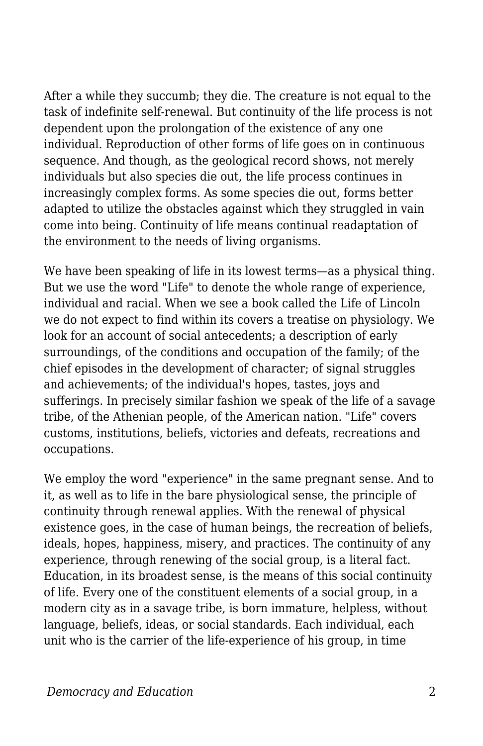After a while they succumb; they die. The creature is not equal to the task of indefinite self-renewal. But continuity of the life process is not dependent upon the prolongation of the existence of any one individual. Reproduction of other forms of life goes on in continuous sequence. And though, as the geological record shows, not merely individuals but also species die out, the life process continues in increasingly complex forms. As some species die out, forms better adapted to utilize the obstacles against which they struggled in vain come into being. Continuity of life means continual readaptation of the environment to the needs of living organisms.

We have been speaking of life in its lowest terms—as a physical thing. But we use the word "Life" to denote the whole range of experience, individual and racial. When we see a book called the Life of Lincoln we do not expect to find within its covers a treatise on physiology. We look for an account of social antecedents; a description of early surroundings, of the conditions and occupation of the family; of the chief episodes in the development of character; of signal struggles and achievements; of the individual's hopes, tastes, joys and sufferings. In precisely similar fashion we speak of the life of a savage tribe, of the Athenian people, of the American nation. "Life" covers customs, institutions, beliefs, victories and defeats, recreations and occupations.

We employ the word "experience" in the same pregnant sense. And to it, as well as to life in the bare physiological sense, the principle of continuity through renewal applies. With the renewal of physical existence goes, in the case of human beings, the recreation of beliefs, ideals, hopes, happiness, misery, and practices. The continuity of any experience, through renewing of the social group, is a literal fact. Education, in its broadest sense, is the means of this social continuity of life. Every one of the constituent elements of a social group, in a modern city as in a savage tribe, is born immature, helpless, without language, beliefs, ideas, or social standards. Each individual, each unit who is the carrier of the life-experience of his group, in time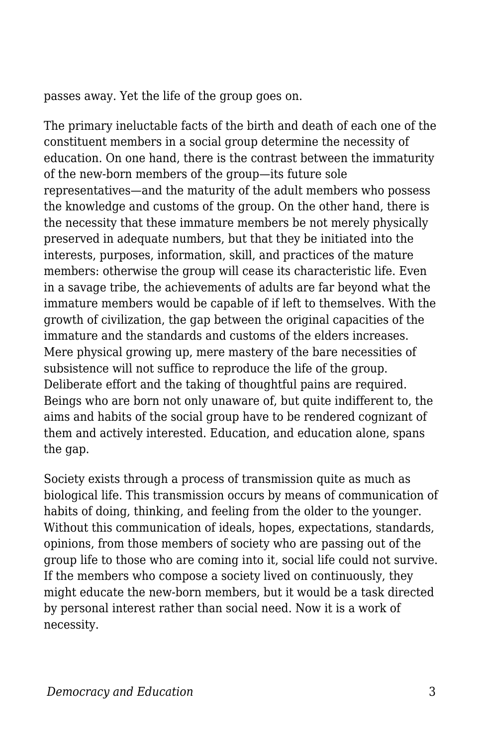passes away. Yet the life of the group goes on.

The primary ineluctable facts of the birth and death of each one of the constituent members in a social group determine the necessity of education. On one hand, there is the contrast between the immaturity of the new-born members of the group—its future sole representatives—and the maturity of the adult members who possess the knowledge and customs of the group. On the other hand, there is the necessity that these immature members be not merely physically preserved in adequate numbers, but that they be initiated into the interests, purposes, information, skill, and practices of the mature members: otherwise the group will cease its characteristic life. Even in a savage tribe, the achievements of adults are far beyond what the immature members would be capable of if left to themselves. With the growth of civilization, the gap between the original capacities of the immature and the standards and customs of the elders increases. Mere physical growing up, mere mastery of the bare necessities of subsistence will not suffice to reproduce the life of the group. Deliberate effort and the taking of thoughtful pains are required. Beings who are born not only unaware of, but quite indifferent to, the aims and habits of the social group have to be rendered cognizant of them and actively interested. Education, and education alone, spans the gap.

Society exists through a process of transmission quite as much as biological life. This transmission occurs by means of communication of habits of doing, thinking, and feeling from the older to the younger. Without this communication of ideals, hopes, expectations, standards, opinions, from those members of society who are passing out of the group life to those who are coming into it, social life could not survive. If the members who compose a society lived on continuously, they might educate the new-born members, but it would be a task directed by personal interest rather than social need. Now it is a work of necessity.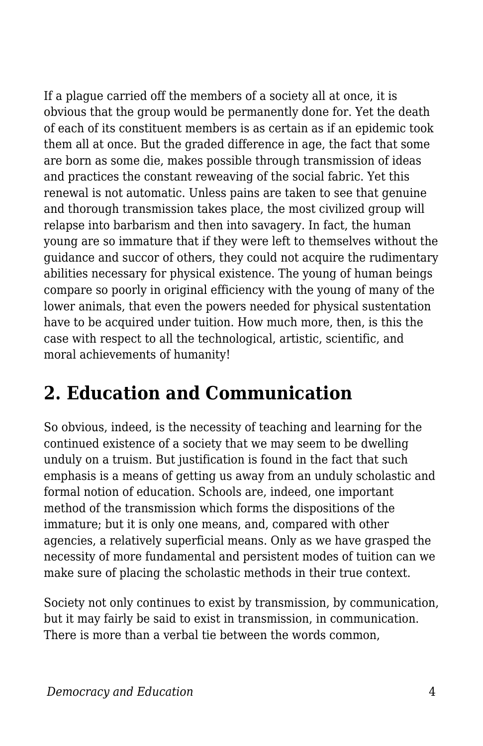If a plague carried off the members of a society all at once, it is obvious that the group would be permanently done for. Yet the death of each of its constituent members is as certain as if an epidemic took them all at once. But the graded difference in age, the fact that some are born as some die, makes possible through transmission of ideas and practices the constant reweaving of the social fabric. Yet this renewal is not automatic. Unless pains are taken to see that genuine and thorough transmission takes place, the most civilized group will relapse into barbarism and then into savagery. In fact, the human young are so immature that if they were left to themselves without the guidance and succor of others, they could not acquire the rudimentary abilities necessary for physical existence. The young of human beings compare so poorly in original efficiency with the young of many of the lower animals, that even the powers needed for physical sustentation have to be acquired under tuition. How much more, then, is this the case with respect to all the technological, artistic, scientific, and moral achievements of humanity!

### **2. Education and Communication**

So obvious, indeed, is the necessity of teaching and learning for the continued existence of a society that we may seem to be dwelling unduly on a truism. But justification is found in the fact that such emphasis is a means of getting us away from an unduly scholastic and formal notion of education. Schools are, indeed, one important method of the transmission which forms the dispositions of the immature; but it is only one means, and, compared with other agencies, a relatively superficial means. Only as we have grasped the necessity of more fundamental and persistent modes of tuition can we make sure of placing the scholastic methods in their true context.

Society not only continues to exist by transmission, by communication, but it may fairly be said to exist in transmission, in communication. There is more than a verbal tie between the words common,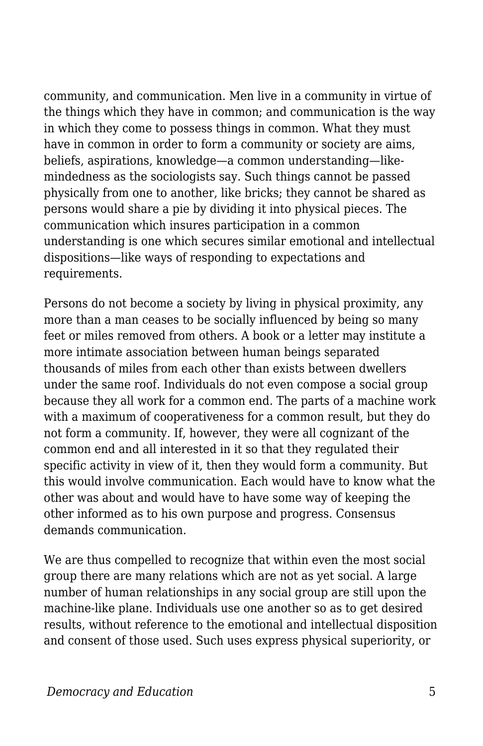community, and communication. Men live in a community in virtue of the things which they have in common; and communication is the way in which they come to possess things in common. What they must have in common in order to form a community or society are aims, beliefs, aspirations, knowledge—a common understanding—likemindedness as the sociologists say. Such things cannot be passed physically from one to another, like bricks; they cannot be shared as persons would share a pie by dividing it into physical pieces. The communication which insures participation in a common understanding is one which secures similar emotional and intellectual dispositions—like ways of responding to expectations and requirements.

Persons do not become a society by living in physical proximity, any more than a man ceases to be socially influenced by being so many feet or miles removed from others. A book or a letter may institute a more intimate association between human beings separated thousands of miles from each other than exists between dwellers under the same roof. Individuals do not even compose a social group because they all work for a common end. The parts of a machine work with a maximum of cooperativeness for a common result, but they do not form a community. If, however, they were all cognizant of the common end and all interested in it so that they regulated their specific activity in view of it, then they would form a community. But this would involve communication. Each would have to know what the other was about and would have to have some way of keeping the other informed as to his own purpose and progress. Consensus demands communication.

We are thus compelled to recognize that within even the most social group there are many relations which are not as yet social. A large number of human relationships in any social group are still upon the machine-like plane. Individuals use one another so as to get desired results, without reference to the emotional and intellectual disposition and consent of those used. Such uses express physical superiority, or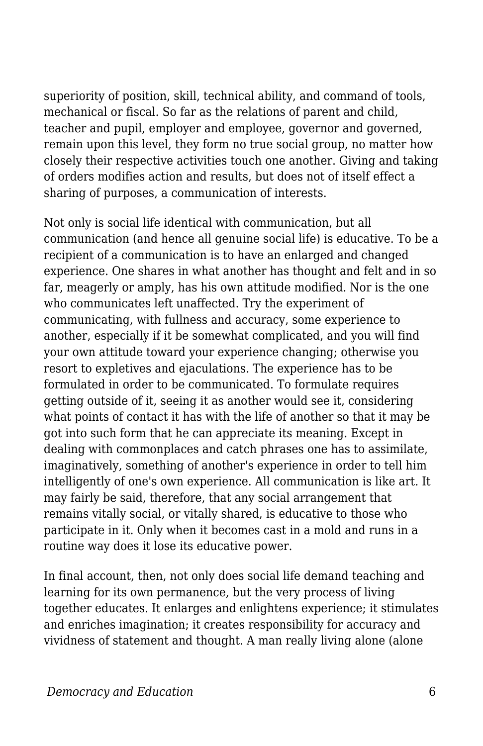superiority of position, skill, technical ability, and command of tools, mechanical or fiscal. So far as the relations of parent and child, teacher and pupil, employer and employee, governor and governed, remain upon this level, they form no true social group, no matter how closely their respective activities touch one another. Giving and taking of orders modifies action and results, but does not of itself effect a sharing of purposes, a communication of interests.

Not only is social life identical with communication, but all communication (and hence all genuine social life) is educative. To be a recipient of a communication is to have an enlarged and changed experience. One shares in what another has thought and felt and in so far, meagerly or amply, has his own attitude modified. Nor is the one who communicates left unaffected. Try the experiment of communicating, with fullness and accuracy, some experience to another, especially if it be somewhat complicated, and you will find your own attitude toward your experience changing; otherwise you resort to expletives and ejaculations. The experience has to be formulated in order to be communicated. To formulate requires getting outside of it, seeing it as another would see it, considering what points of contact it has with the life of another so that it may be got into such form that he can appreciate its meaning. Except in dealing with commonplaces and catch phrases one has to assimilate, imaginatively, something of another's experience in order to tell him intelligently of one's own experience. All communication is like art. It may fairly be said, therefore, that any social arrangement that remains vitally social, or vitally shared, is educative to those who participate in it. Only when it becomes cast in a mold and runs in a routine way does it lose its educative power.

In final account, then, not only does social life demand teaching and learning for its own permanence, but the very process of living together educates. It enlarges and enlightens experience; it stimulates and enriches imagination; it creates responsibility for accuracy and vividness of statement and thought. A man really living alone (alone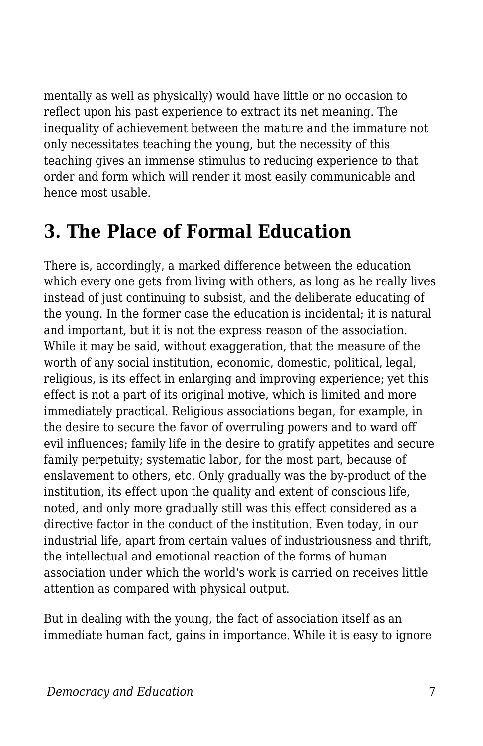mentally as well as physically) would have little or no occasion to reflect upon his past experience to extract its net meaning. The inequality of achievement between the mature and the immature not only necessitates teaching the young, but the necessity of this teaching gives an immense stimulus to reducing experience to that order and form which will render it most easily communicable and hence most usable.

## **3. The Place of Formal Education**

There is, accordingly, a marked difference between the education which every one gets from living with others, as long as he really lives instead of just continuing to subsist, and the deliberate educating of the young. In the former case the education is incidental; it is natural and important, but it is not the express reason of the association. While it may be said, without exaggeration, that the measure of the worth of any social institution, economic, domestic, political, legal, religious, is its effect in enlarging and improving experience; yet this effect is not a part of its original motive, which is limited and more immediately practical. Religious associations began, for example, in the desire to secure the favor of overruling powers and to ward off evil influences; family life in the desire to gratify appetites and secure family perpetuity; systematic labor, for the most part, because of enslavement to others, etc. Only gradually was the by-product of the institution, its effect upon the quality and extent of conscious life, noted, and only more gradually still was this effect considered as a directive factor in the conduct of the institution. Even today, in our industrial life, apart from certain values of industriousness and thrift, the intellectual and emotional reaction of the forms of human association under which the world's work is carried on receives little attention as compared with physical output.

But in dealing with the young, the fact of association itself as an immediate human fact, gains in importance. While it is easy to ignore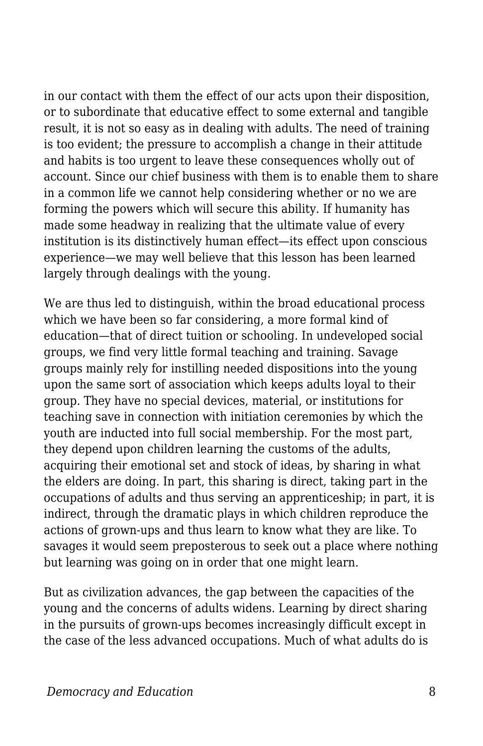in our contact with them the effect of our acts upon their disposition, or to subordinate that educative effect to some external and tangible result, it is not so easy as in dealing with adults. The need of training is too evident; the pressure to accomplish a change in their attitude and habits is too urgent to leave these consequences wholly out of account. Since our chief business with them is to enable them to share in a common life we cannot help considering whether or no we are forming the powers which will secure this ability. If humanity has made some headway in realizing that the ultimate value of every institution is its distinctively human effect—its effect upon conscious experience—we may well believe that this lesson has been learned largely through dealings with the young.

We are thus led to distinguish, within the broad educational process which we have been so far considering, a more formal kind of education—that of direct tuition or schooling. In undeveloped social groups, we find very little formal teaching and training. Savage groups mainly rely for instilling needed dispositions into the young upon the same sort of association which keeps adults loyal to their group. They have no special devices, material, or institutions for teaching save in connection with initiation ceremonies by which the youth are inducted into full social membership. For the most part, they depend upon children learning the customs of the adults, acquiring their emotional set and stock of ideas, by sharing in what the elders are doing. In part, this sharing is direct, taking part in the occupations of adults and thus serving an apprenticeship; in part, it is indirect, through the dramatic plays in which children reproduce the actions of grown-ups and thus learn to know what they are like. To savages it would seem preposterous to seek out a place where nothing but learning was going on in order that one might learn.

But as civilization advances, the gap between the capacities of the young and the concerns of adults widens. Learning by direct sharing in the pursuits of grown-ups becomes increasingly difficult except in the case of the less advanced occupations. Much of what adults do is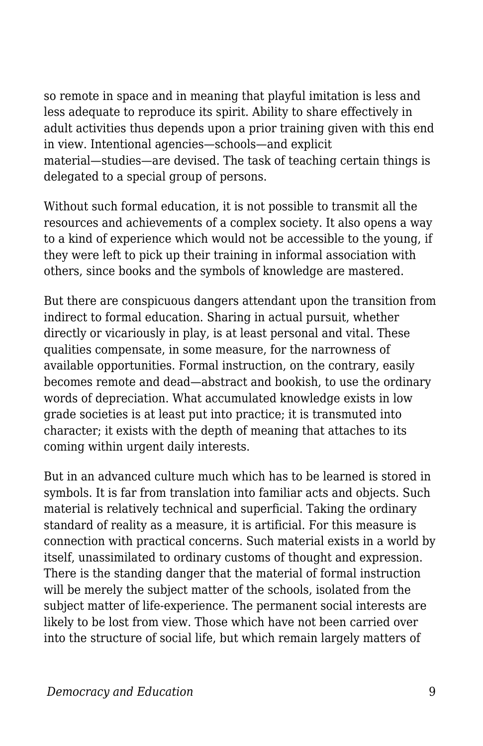so remote in space and in meaning that playful imitation is less and less adequate to reproduce its spirit. Ability to share effectively in adult activities thus depends upon a prior training given with this end in view. Intentional agencies—schools—and explicit material—studies—are devised. The task of teaching certain things is delegated to a special group of persons.

Without such formal education, it is not possible to transmit all the resources and achievements of a complex society. It also opens a way to a kind of experience which would not be accessible to the young, if they were left to pick up their training in informal association with others, since books and the symbols of knowledge are mastered.

But there are conspicuous dangers attendant upon the transition from indirect to formal education. Sharing in actual pursuit, whether directly or vicariously in play, is at least personal and vital. These qualities compensate, in some measure, for the narrowness of available opportunities. Formal instruction, on the contrary, easily becomes remote and dead—abstract and bookish, to use the ordinary words of depreciation. What accumulated knowledge exists in low grade societies is at least put into practice; it is transmuted into character; it exists with the depth of meaning that attaches to its coming within urgent daily interests.

But in an advanced culture much which has to be learned is stored in symbols. It is far from translation into familiar acts and objects. Such material is relatively technical and superficial. Taking the ordinary standard of reality as a measure, it is artificial. For this measure is connection with practical concerns. Such material exists in a world by itself, unassimilated to ordinary customs of thought and expression. There is the standing danger that the material of formal instruction will be merely the subject matter of the schools, isolated from the subject matter of life-experience. The permanent social interests are likely to be lost from view. Those which have not been carried over into the structure of social life, but which remain largely matters of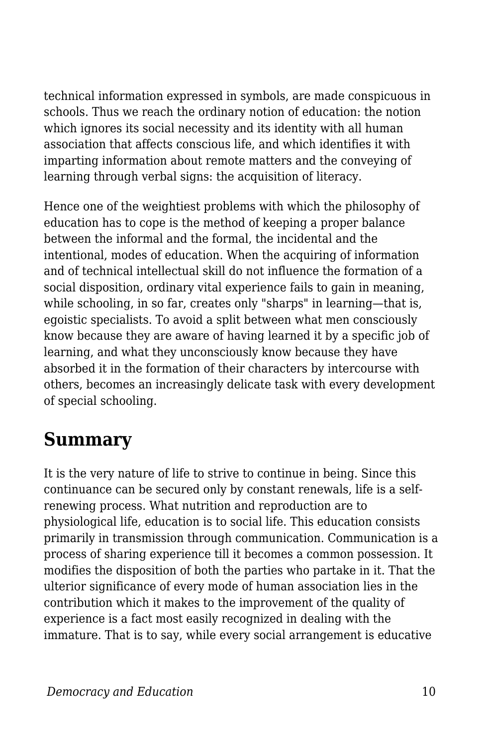technical information expressed in symbols, are made conspicuous in schools. Thus we reach the ordinary notion of education: the notion which ignores its social necessity and its identity with all human association that affects conscious life, and which identifies it with imparting information about remote matters and the conveying of learning through verbal signs: the acquisition of literacy.

Hence one of the weightiest problems with which the philosophy of education has to cope is the method of keeping a proper balance between the informal and the formal, the incidental and the intentional, modes of education. When the acquiring of information and of technical intellectual skill do not influence the formation of a social disposition, ordinary vital experience fails to gain in meaning, while schooling, in so far, creates only "sharps" in learning—that is, egoistic specialists. To avoid a split between what men consciously know because they are aware of having learned it by a specific job of learning, and what they unconsciously know because they have absorbed it in the formation of their characters by intercourse with others, becomes an increasingly delicate task with every development of special schooling.

#### **Summary**

It is the very nature of life to strive to continue in being. Since this continuance can be secured only by constant renewals, life is a selfrenewing process. What nutrition and reproduction are to physiological life, education is to social life. This education consists primarily in transmission through communication. Communication is a process of sharing experience till it becomes a common possession. It modifies the disposition of both the parties who partake in it. That the ulterior significance of every mode of human association lies in the contribution which it makes to the improvement of the quality of experience is a fact most easily recognized in dealing with the immature. That is to say, while every social arrangement is educative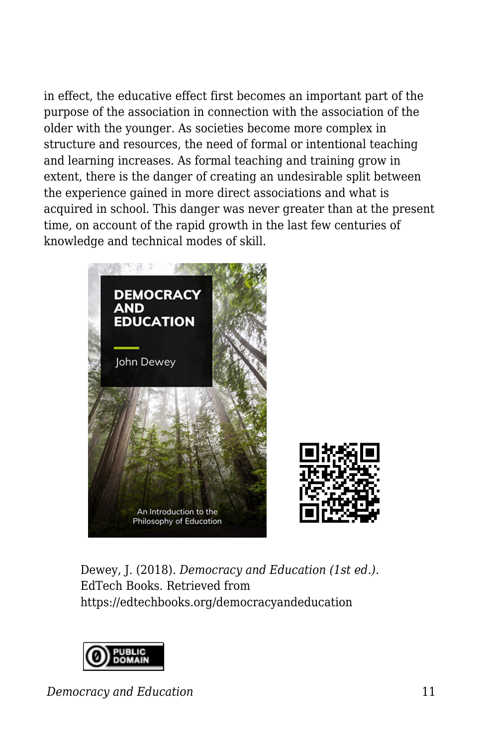in effect, the educative effect first becomes an important part of the purpose of the association in connection with the association of the older with the younger. As societies become more complex in structure and resources, the need of formal or intentional teaching and learning increases. As formal teaching and training grow in extent, there is the danger of creating an undesirable split between the experience gained in more direct associations and what is acquired in school. This danger was never greater than at the present time, on account of the rapid growth in the last few centuries of knowledge and technical modes of skill.





Dewey, J. (2018). *Democracy and Education (1st ed.)*. EdTech Books. Retrieved from https://edtechbooks.org/democracyandeducation



*Democracy and Education* 11